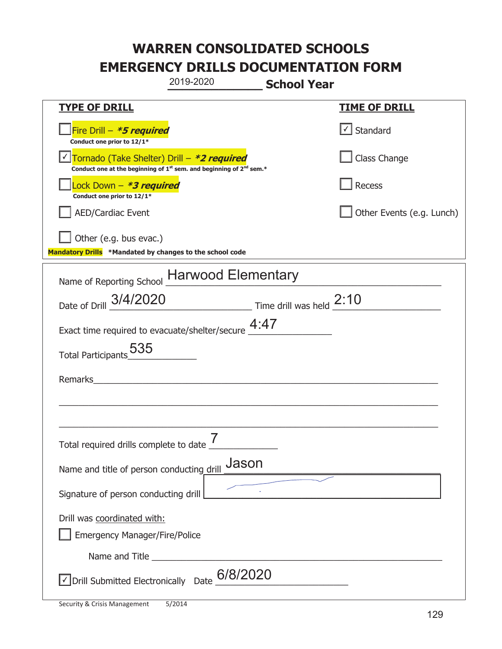|                                                                                    | 2019-2020                                                                                   | <b>School Year</b> |                                   |
|------------------------------------------------------------------------------------|---------------------------------------------------------------------------------------------|--------------------|-----------------------------------|
| <b>TYPE OF DRILL</b>                                                               |                                                                                             |                    | <b>TIME OF DRILL</b>              |
| Fire Drill - *5 required<br>Conduct one prior to 12/1*                             |                                                                                             |                    | $\lfloor \angle \rfloor$ Standard |
| Tornado (Take Shelter) Drill – *2 required                                         | Conduct one at the beginning of 1 <sup>st</sup> sem. and beginning of 2 <sup>nd</sup> sem.* |                    | Class Change                      |
| Lock Down - *3 required<br>Conduct one prior to 12/1*                              |                                                                                             |                    | Recess                            |
| <b>AED/Cardiac Event</b>                                                           |                                                                                             |                    | Other Events (e.g. Lunch)         |
| Other (e.g. bus evac.)<br>Mandatory Drills *Mandated by changes to the school code |                                                                                             |                    |                                   |
| Name of Reporting School Harwood Elementary                                        |                                                                                             |                    |                                   |
| Date of Drill 3/4/2020<br>Time drill was held 2:10                                 |                                                                                             |                    |                                   |
| Exact time required to evacuate/shelter/secure $4:47$                              |                                                                                             |                    |                                   |
| Total Participants 535                                                             |                                                                                             |                    |                                   |
| Remarks                                                                            |                                                                                             |                    |                                   |
|                                                                                    |                                                                                             |                    |                                   |
| Total required drills complete to date $\mathbf{\mathsf{r}}$                       |                                                                                             |                    |                                   |
| Name and title of person conducting drill                                          | Jason                                                                                       |                    |                                   |
| Signature of person conducting drill                                               |                                                                                             |                    |                                   |
| Drill was coordinated with:<br><b>Emergency Manager/Fire/Police</b>                |                                                                                             |                    |                                   |
|                                                                                    |                                                                                             |                    |                                   |
| $\sqrt{\frac{1}{20}}$ Drill Submitted Electronically Date $\frac{6}{8}/2020$       |                                                                                             |                    |                                   |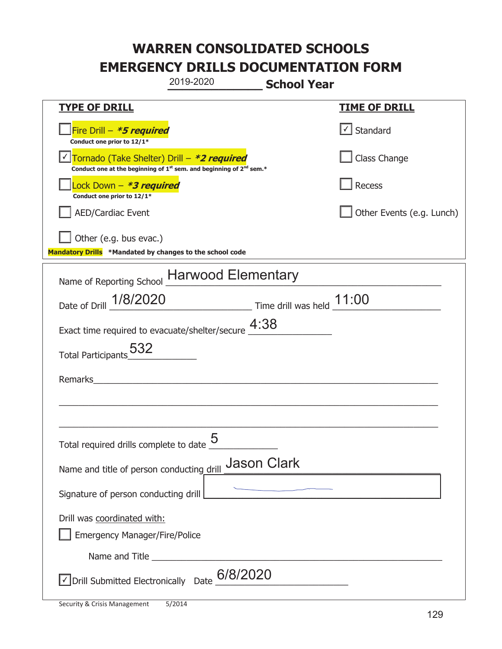|                                                                                                                                           | 2019-2020                                               | <b>School Year</b> |                                   |
|-------------------------------------------------------------------------------------------------------------------------------------------|---------------------------------------------------------|--------------------|-----------------------------------|
| <b>TYPE OF DRILL</b>                                                                                                                      |                                                         |                    | <b>TIME OF DRILL</b>              |
| Fire Drill - *5 required<br>Conduct one prior to 12/1*                                                                                    |                                                         |                    | $\lfloor \angle \rfloor$ Standard |
| Tornado (Take Shelter) Drill – *2 required<br>Conduct one at the beginning of 1 <sup>st</sup> sem. and beginning of 2 <sup>nd</sup> sem.* |                                                         |                    | Class Change                      |
| Lock Down - *3 required<br>Conduct one prior to 12/1*                                                                                     |                                                         |                    | Recess                            |
| <b>AED/Cardiac Event</b>                                                                                                                  |                                                         |                    | Other Events (e.g. Lunch)         |
| Other (e.g. bus evac.)<br>Mandatory Drills *Mandated by changes to the school code                                                        |                                                         |                    |                                   |
| Name of Reporting School Harwood Elementary                                                                                               |                                                         |                    |                                   |
| Date of Drill 1/8/2020                                                                                                                    | $\frac{11:00}{2}$ Time drill was held $\frac{11:00}{2}$ |                    |                                   |
| Exact time required to evacuate/shelter/secure $\frac{4:38}{4}$                                                                           |                                                         |                    |                                   |
| Total Participants 532                                                                                                                    |                                                         |                    |                                   |
| Remarks                                                                                                                                   |                                                         |                    |                                   |
|                                                                                                                                           |                                                         |                    |                                   |
| Total required drills complete to date $\underline{\mathsf{5}}$                                                                           |                                                         |                    |                                   |
| Name and title of person conducting drill                                                                                                 |                                                         | <b>Jason Clark</b> |                                   |
| Signature of person conducting drill                                                                                                      |                                                         |                    |                                   |
| Drill was coordinated with:<br><b>Emergency Manager/Fire/Police</b>                                                                       |                                                         |                    |                                   |
|                                                                                                                                           |                                                         |                    |                                   |
| $\sqrt{\frac{1}{20}}$ Drill Submitted Electronically Date $\frac{6}{8}/2020$                                                              |                                                         |                    |                                   |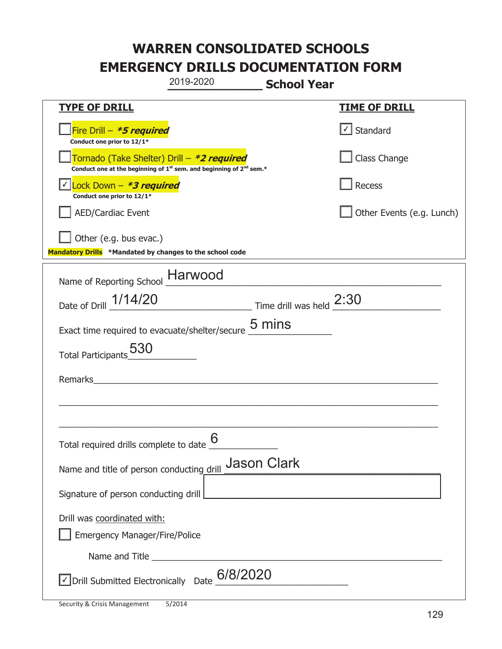|                                                                                                                                           | 2019-2020                                                                                                                                                                                                                            | <b>School Year</b> |                                   |
|-------------------------------------------------------------------------------------------------------------------------------------------|--------------------------------------------------------------------------------------------------------------------------------------------------------------------------------------------------------------------------------------|--------------------|-----------------------------------|
| <u>TYPE OF DRILL</u>                                                                                                                      |                                                                                                                                                                                                                                      |                    | <b>TIME OF DRILL</b>              |
| Fire Drill - *5 required<br>Conduct one prior to 12/1*                                                                                    |                                                                                                                                                                                                                                      |                    | $\lfloor \angle \rfloor$ Standard |
| Tornado (Take Shelter) Drill – *2 required<br>Conduct one at the beginning of 1 <sup>st</sup> sem. and beginning of 2 <sup>nd</sup> sem.* |                                                                                                                                                                                                                                      |                    | Class Change                      |
| Lock Down - <b>*3 required</b><br>Conduct one prior to 12/1*                                                                              |                                                                                                                                                                                                                                      |                    | Recess                            |
| <b>AED/Cardiac Event</b>                                                                                                                  |                                                                                                                                                                                                                                      |                    | Other Events (e.g. Lunch)         |
| Other (e.g. bus evac.)<br>Mandatory Drills *Mandated by changes to the school code                                                        |                                                                                                                                                                                                                                      |                    |                                   |
| Name of Reporting School Harwood                                                                                                          |                                                                                                                                                                                                                                      |                    |                                   |
| Date of Drill 1/14/20                                                                                                                     | $\frac{2:30}{\frac{1}{2}:30}$ Time drill was held $\frac{2:30}{\frac{1}{2}:30}$                                                                                                                                                      |                    |                                   |
| Exact time required to evacuate/shelter/secure $\underline{5}$ mins                                                                       |                                                                                                                                                                                                                                      |                    |                                   |
| 530<br><b>Total Participants</b>                                                                                                          |                                                                                                                                                                                                                                      |                    |                                   |
| Remarks                                                                                                                                   |                                                                                                                                                                                                                                      |                    |                                   |
|                                                                                                                                           |                                                                                                                                                                                                                                      |                    |                                   |
| Total required drills complete to date of                                                                                                 | 6                                                                                                                                                                                                                                    |                    |                                   |
| Name and title of person conducting drill                                                                                                 |                                                                                                                                                                                                                                      | <b>Jason Clark</b> |                                   |
| Signature of person conducting drill                                                                                                      |                                                                                                                                                                                                                                      |                    |                                   |
| Drill was coordinated with:<br><b>Emergency Manager/Fire/Police</b>                                                                       |                                                                                                                                                                                                                                      |                    |                                   |
|                                                                                                                                           | Name and Title <b>contract to the contract of the contract of the contract of the contract of the contract of the contract of the contract of the contract of the contract of the contract of the contract of the contract of th</b> |                    |                                   |
| $\sqrt{\frac{1}{20}}$ Drill Submitted Electronically Date $\frac{6}{8}/2020$                                                              |                                                                                                                                                                                                                                      |                    |                                   |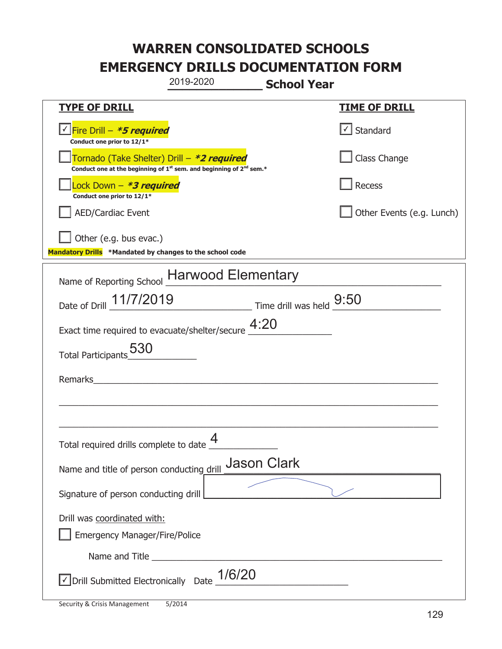|                                                                                    | 2019-2020                                                                                   | <b>School Year</b> |                           |
|------------------------------------------------------------------------------------|---------------------------------------------------------------------------------------------|--------------------|---------------------------|
| <b>TYPE OF DRILL</b>                                                               |                                                                                             |                    | <b>TIME OF DRILL</b>      |
| Fire Drill - *5 required<br>Conduct one prior to 12/1*                             |                                                                                             |                    | $\cup$ Standard           |
| Tornado (Take Shelter) Drill – *2 required                                         | Conduct one at the beginning of 1 <sup>st</sup> sem. and beginning of 2 <sup>nd</sup> sem.* |                    | Class Change              |
| Lock Down - *3 required<br>Conduct one prior to 12/1*                              |                                                                                             |                    | Recess                    |
| <b>AED/Cardiac Event</b>                                                           |                                                                                             |                    | Other Events (e.g. Lunch) |
| Other (e.g. bus evac.)<br>Mandatory Drills *Mandated by changes to the school code |                                                                                             |                    |                           |
| Name of Reporting School Harwood Elementary                                        |                                                                                             |                    |                           |
| Date of Drill 11/7/2019 Time drill was held 9:50                                   |                                                                                             |                    |                           |
| Exact time required to evacuate/shelter/secure $4:20$                              |                                                                                             |                    |                           |
| Total Participants <sub>_0</sub> 530                                               |                                                                                             |                    |                           |
| Remarks                                                                            |                                                                                             |                    |                           |
|                                                                                    |                                                                                             |                    |                           |
|                                                                                    |                                                                                             |                    |                           |
| Total required drills complete to date $\Box$                                      | 4                                                                                           |                    |                           |
| Name and title of person conducting drill                                          |                                                                                             | <b>Jason Clark</b> |                           |
| Signature of person conducting drill                                               |                                                                                             |                    |                           |
| Drill was coordinated with:                                                        |                                                                                             |                    |                           |
| <b>Emergency Manager/Fire/Police</b>                                               |                                                                                             |                    |                           |
|                                                                                    |                                                                                             |                    |                           |
| √ Drill Submitted Electronically Date                                              | 1/6/20                                                                                      |                    |                           |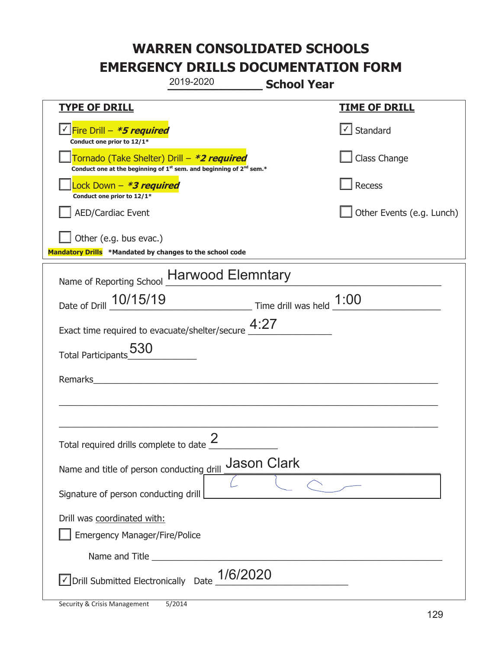|                                                                                    | 2019-2020                                                                                   | <b>School Year</b> |                                   |
|------------------------------------------------------------------------------------|---------------------------------------------------------------------------------------------|--------------------|-----------------------------------|
| <u>TYPE OF DRILL</u>                                                               |                                                                                             |                    | <b>TIME OF DRILL</b>              |
| Fire Drill - *5 required<br>Conduct one prior to 12/1*                             |                                                                                             |                    | $\lfloor \angle \rfloor$ Standard |
| Tornado (Take Shelter) Drill – *2 required                                         | Conduct one at the beginning of 1 <sup>st</sup> sem. and beginning of 2 <sup>nd</sup> sem.* |                    | Class Change                      |
| Lock Down - *3 required<br>Conduct one prior to 12/1*                              |                                                                                             |                    | Recess                            |
| <b>AED/Cardiac Event</b>                                                           |                                                                                             |                    | Other Events (e.g. Lunch)         |
| Other (e.g. bus evac.)<br>Mandatory Drills *Mandated by changes to the school code |                                                                                             |                    |                                   |
| Name of Reporting School Harwood Elemntary                                         |                                                                                             |                    |                                   |
| Date of Drill _ 10/15/19                                                           | $\frac{1:00}{\frac{1}{2}:00}$ Time drill was held $\frac{1:00}{\frac{1}{2}:00}$             |                    |                                   |
| Exact time required to evacuate/shelter/secure $4:27$                              |                                                                                             |                    |                                   |
| 530<br><b>Total Participants</b>                                                   |                                                                                             |                    |                                   |
| Remarks                                                                            |                                                                                             |                    |                                   |
|                                                                                    |                                                                                             |                    |                                   |
| Total required drills complete to date $\leq$                                      | $\mathcal{P}$                                                                               |                    |                                   |
| Name and title of person conducting drill                                          |                                                                                             | <b>Jason Clark</b> |                                   |
| Signature of person conducting drill                                               |                                                                                             |                    |                                   |
| Drill was coordinated with:<br><b>Emergency Manager/Fire/Police</b>                |                                                                                             |                    |                                   |
|                                                                                    |                                                                                             |                    |                                   |
| √ Drill Submitted Electronically Date                                              | 1/6/2020                                                                                    |                    |                                   |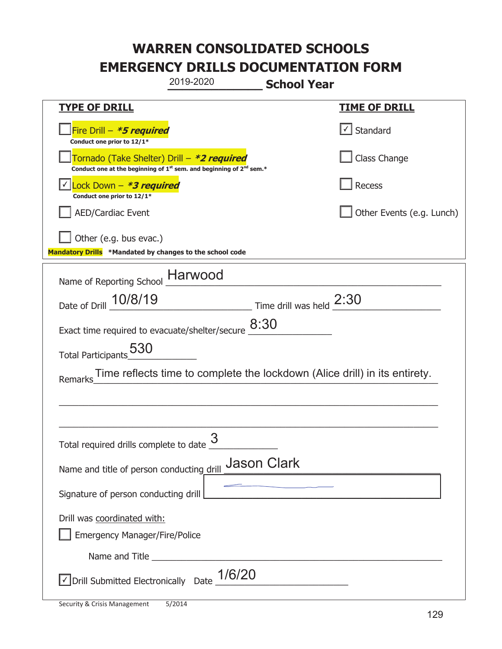|                                                                                                                       | 2019-2020 | <b>School Year</b>                                                        |                                                                            |
|-----------------------------------------------------------------------------------------------------------------------|-----------|---------------------------------------------------------------------------|----------------------------------------------------------------------------|
| <b>TYPE OF DRILL</b>                                                                                                  |           |                                                                           | <u>TIME OF DRILL</u>                                                       |
| Fire Drill - *5 required<br>Conduct one prior to 12/1*                                                                |           |                                                                           | $\lfloor \angle \rfloor$ Standard                                          |
| Tornado (Take Shelter) Drill – *2 required<br>Conduct one at the beginning of $1st$ sem. and beginning of $2nd$ sem.* |           |                                                                           | Class Change                                                               |
| Lock Down - <b>*3 required</b><br>Conduct one prior to 12/1*                                                          |           |                                                                           | Recess                                                                     |
| <b>AED/Cardiac Event</b>                                                                                              |           |                                                                           | Other Events (e.g. Lunch)                                                  |
| Other (e.g. bus evac.)<br>Mandatory Drills *Mandated by changes to the school code                                    |           |                                                                           |                                                                            |
| Name of Reporting School __ Harwood                                                                                   |           |                                                                           |                                                                            |
| Date of Drill 10/8/19                                                                                                 |           | $\frac{2:30}{\frac{1}{2}}$ Time drill was held $\frac{2:30}{\frac{1}{2}}$ |                                                                            |
| Exact time required to evacuate/shelter/secure $\underline{8:30}$                                                     |           |                                                                           |                                                                            |
| Total Participants 530                                                                                                |           |                                                                           |                                                                            |
| Remarks                                                                                                               |           |                                                                           | Time reflects time to complete the lockdown (Alice drill) in its entirety. |
|                                                                                                                       |           |                                                                           |                                                                            |
|                                                                                                                       |           |                                                                           |                                                                            |
| Total required drills complete to date $\frac{3}{5}$                                                                  |           |                                                                           |                                                                            |
| Name and title of person conducting drill                                                                             |           | <b>Jason Clark</b>                                                        |                                                                            |
| Signature of person conducting drill                                                                                  |           |                                                                           |                                                                            |
| Drill was coordinated with:<br><b>Emergency Manager/Fire/Police</b>                                                   |           |                                                                           |                                                                            |
|                                                                                                                       |           |                                                                           |                                                                            |
| √ Drill Submitted Electronically Date                                                                                 | 1/6/20    |                                                                           |                                                                            |